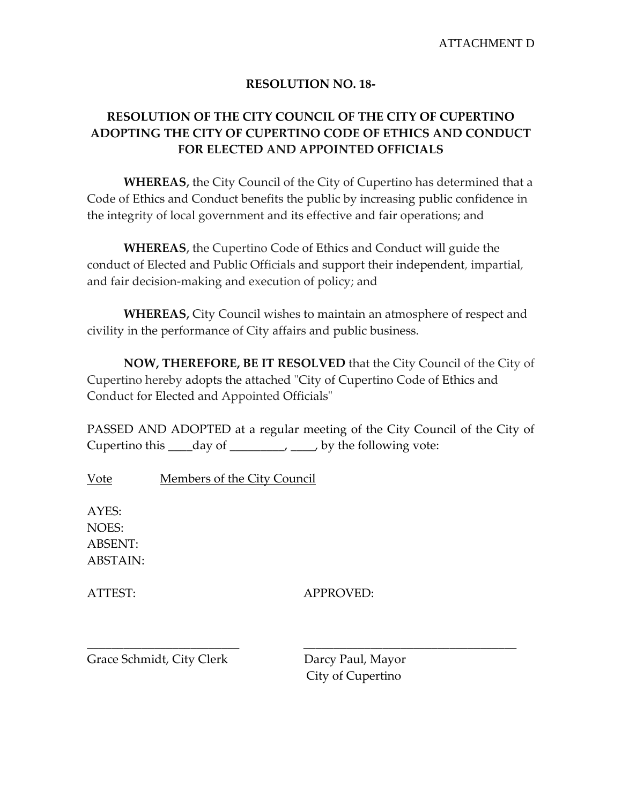## **RESOLUTION NO. 18-**

## **RESOLUTION OF THE CITY COUNCIL OF THE CITY OF CUPERTINO ADOPTING THE CITY OF CUPERTINO CODE OF ETHICS AND CONDUCT FOR ELECTED AND APPOINTED OFFICIALS**

**WHEREAS,** the City Council of the City of Cupertino has determined that a Code of Ethics and Conduct benefits the public by increasing public confidence in the integrity of local government and its effective and fair operations; and

**WHEREAS,** the Cupertino Code of Ethics and Conduct will guide the conduct of Elected and Public Officials and support their independent, impartial, and fair decision-making and execution of policy; and

**WHEREAS,** City Council wishes to maintain an atmosphere of respect and civility in the performance of City affairs and public business.

**NOW, THEREFORE, BE IT RESOLVED** that the City Council of the City of Cupertino hereby adopts the attached "City of Cupertino Code of Ethics and Conduct for Elected and Appointed Officials"

PASSED AND ADOPTED at a regular meeting of the City Council of the City of Cupertino this \_\_\_\_day of \_\_\_\_\_\_\_\_\_, \_\_\_\_, by the following vote:

Vote Members of the City Council

AYES: NOES: ABSENT: ABSTAIN:

ATTEST: APPROVED:

\_\_\_\_\_\_\_\_\_\_\_\_\_\_\_\_\_\_\_\_\_\_\_\_\_ \_\_\_\_\_\_\_\_\_\_\_\_\_\_\_\_\_\_\_\_\_\_\_\_\_\_\_\_\_\_\_\_\_\_\_

Grace Schmidt, City Clerk Darcy Paul, Mayor

City of Cupertino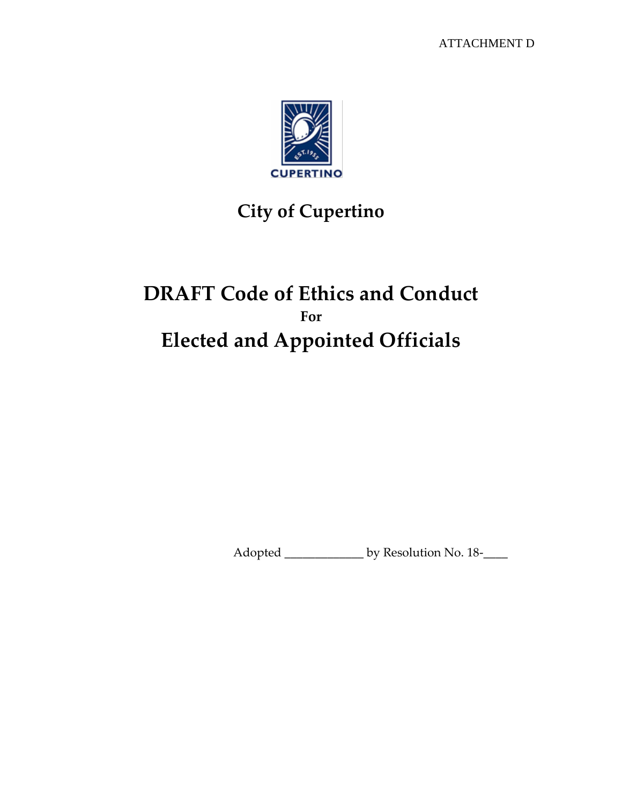

# **City of Cupertino**

## **DRAFT Code of Ethics and Conduct For Elected and Appointed Officials**

Adopted \_\_\_\_\_\_\_\_\_\_\_\_\_\_\_\_ by Resolution No. 18-\_\_\_\_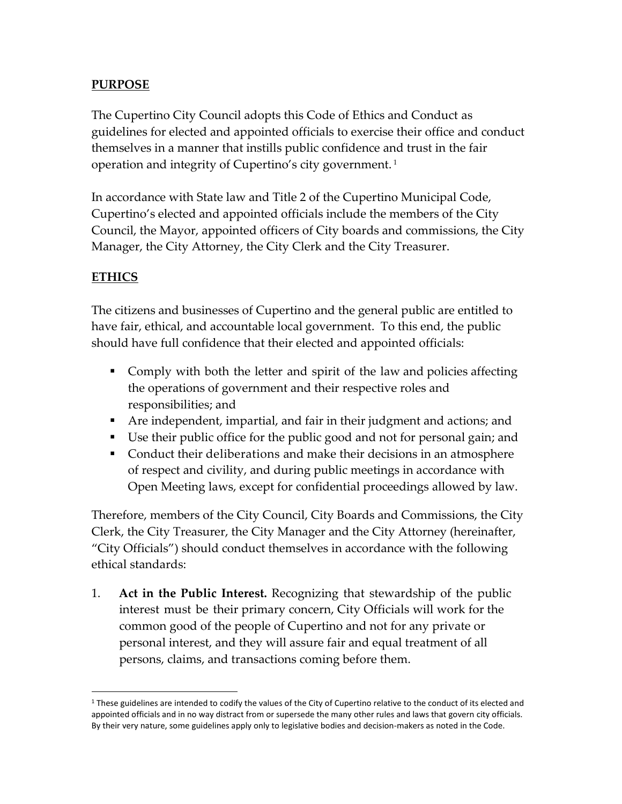## **PURPOSE**

The Cupertino City Council adopts this Code of Ethics and Conduct as guidelines for elected and appointed officials to exercise their office and conduct themselves in a manner that instills public confidence and trust in the fair operation and integrity of Cupertino's city government. <sup>1</sup>

In accordance with State law and Title 2 of the Cupertino Municipal Code, Cupertino's elected and appointed officials include the members of the City Council, the Mayor, appointed officers of City boards and commissions, the City Manager, the City Attorney, the City Clerk and the City Treasurer.

## **ETHICS**

 $\overline{a}$ 

The citizens and businesses of Cupertino and the general public are entitled to have fair, ethical, and accountable local government. To this end, the public should have full confidence that their elected and appointed officials:

- Comply with both the letter and spirit of the law and policies affecting the operations of government and their respective roles and responsibilities; and
- Are independent, impartial, and fair in their judgment and actions; and
- Use their public office for the public good and not for personal gain; and
- Conduct their deliberations and make their decisions in an atmosphere of respect and civility, and during public meetings in accordance with Open Meeting laws, except for confidential proceedings allowed by law.

Therefore, members of the City Council, City Boards and Commissions, the City Clerk, the City Treasurer, the City Manager and the City Attorney (hereinafter, "City Officials") should conduct themselves in accordance with the following ethical standards:

1. **Act in the Public Interest.** Recognizing that stewardship of the public interest must be their primary concern, City Officials will work for the common good of the people of Cupertino and not for any private or personal interest, and they will assure fair and equal treatment of all persons, claims, and transactions coming before them.

 $1$  These guidelines are intended to codify the values of the City of Cupertino relative to the conduct of its elected and appointed officials and in no way distract from or supersede the many other rules and laws that govern city officials. By their very nature, some guidelines apply only to legislative bodies and decision-makers as noted in the Code.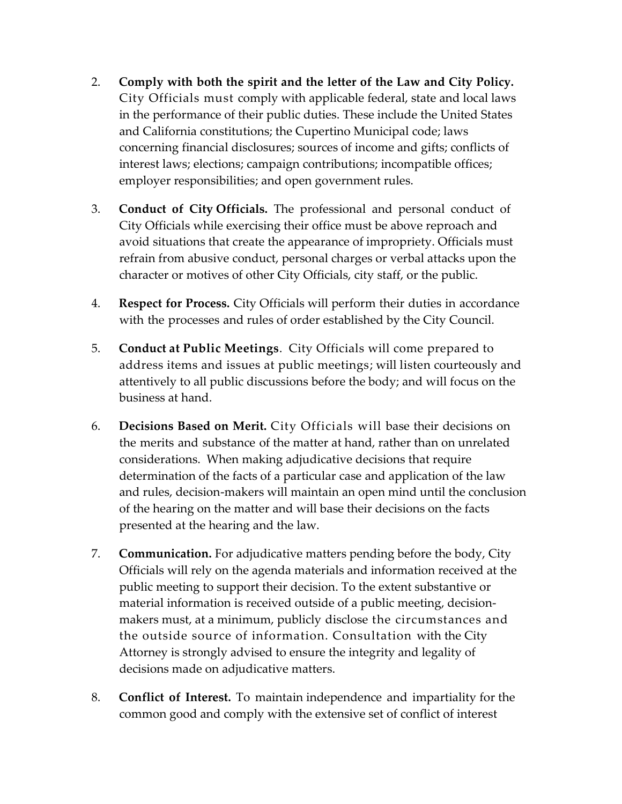- 2. **Comply with both the spirit and the letter of the Law and City Policy.** City Officials must comply with applicable federal, state and local laws in the performance of their public duties. These include the United States and California constitutions; the Cupertino Municipal code; laws concerning financial disclosures; sources of income and gifts; conflicts of interest laws; elections; campaign contributions; incompatible offices; employer responsibilities; and open government rules.
- 3. **Conduct of City Officials.** The professional and personal conduct of City Officials while exercising their office must be above reproach and avoid situations that create the appearance of impropriety. Officials must refrain from abusive conduct, personal charges or verbal attacks upon the character or motives of other City Officials, city staff, or the public.
- 4. **Respect for Process.** City Officials will perform their duties in accordance with the processes and rules of order established by the City Council.
- 5. **Conduct at Public Meetings**. City Officials will come prepared to address items and issues at public meetings; will listen courteously and attentively to all public discussions before the body; and will focus on the business at hand.
- 6. **Decisions Based on Merit.** City Officials will base their decisions on the merits and substance of the matter at hand, rather than on unrelated considerations. When making adjudicative decisions that require determination of the facts of a particular case and application of the law and rules, decision-makers will maintain an open mind until the conclusion of the hearing on the matter and will base their decisions on the facts presented at the hearing and the law.
- 7. **Communication.** For adjudicative matters pending before the body, City Officials will rely on the agenda materials and information received at the public meeting to support their decision. To the extent substantive or material information is received outside of a public meeting, decisionmakers must, at a minimum, publicly disclose the circumstances and the outside source of information. Consultation with the City Attorney is strongly advised to ensure the integrity and legality of decisions made on adjudicative matters.
- 8. **Conflict of Interest.** To maintain independence and impartiality for the common good and comply with the extensive set of conflict of interest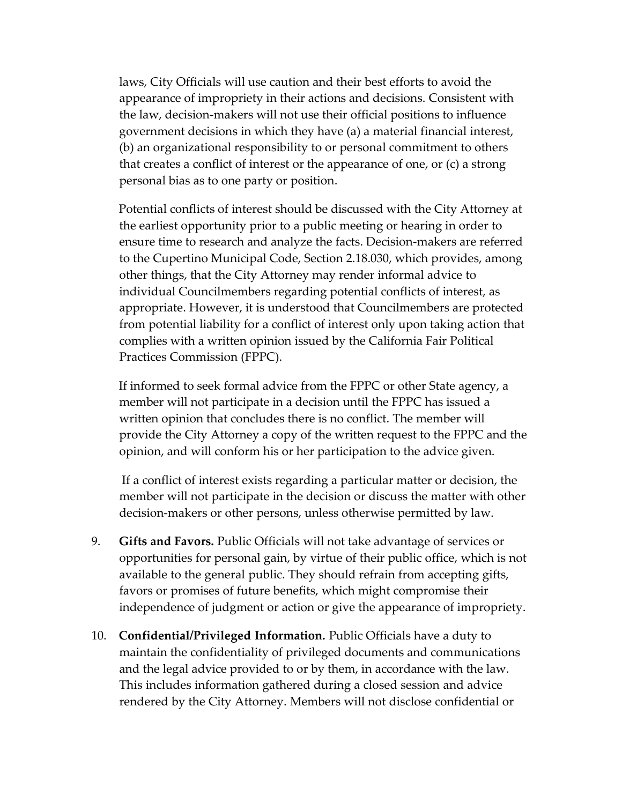laws, City Officials will use caution and their best efforts to avoid the appearance of impropriety in their actions and decisions. Consistent with the law, decision-makers will not use their official positions to influence government decisions in which they have (a) a material financial interest, (b) an organizational responsibility to or personal commitment to others that creates a conflict of interest or the appearance of one, or (c) a strong personal bias as to one party or position.

Potential conflicts of interest should be discussed with the City Attorney at the earliest opportunity prior to a public meeting or hearing in order to ensure time to research and analyze the facts. Decision-makers are referred to the Cupertino Municipal Code, Section 2.18.030, which provides, among other things, that the City Attorney may render informal advice to individual Councilmembers regarding potential conflicts of interest, as appropriate. However, it is understood that Councilmembers are protected from potential liability for a conflict of interest only upon taking action that complies with a written opinion issued by the California Fair Political Practices Commission (FPPC).

If informed to seek formal advice from the FPPC or other State agency, a member will not participate in a decision until the FPPC has issued a written opinion that concludes there is no conflict. The member will provide the City Attorney a copy of the written request to the FPPC and the opinion, and will conform his or her participation to the advice given.

If a conflict of interest exists regarding a particular matter or decision, the member will not participate in the decision or discuss the matter with other decision-makers or other persons, unless otherwise permitted by law.

- 9. **Gifts and Favors.** Public Officials will not take advantage of services or opportunities for personal gain, by virtue of their public office, which is not available to the general public. They should refrain from accepting gifts, favors or promises of future benefits, which might compromise their independence of judgment or action or give the appearance of impropriety.
- 10. **Confidential/Privileged Information.** Public Officials have a duty to maintain the confidentiality of privileged documents and communications and the legal advice provided to or by them, in accordance with the law. This includes information gathered during a closed session and advice rendered by the City Attorney. Members will not disclose confidential or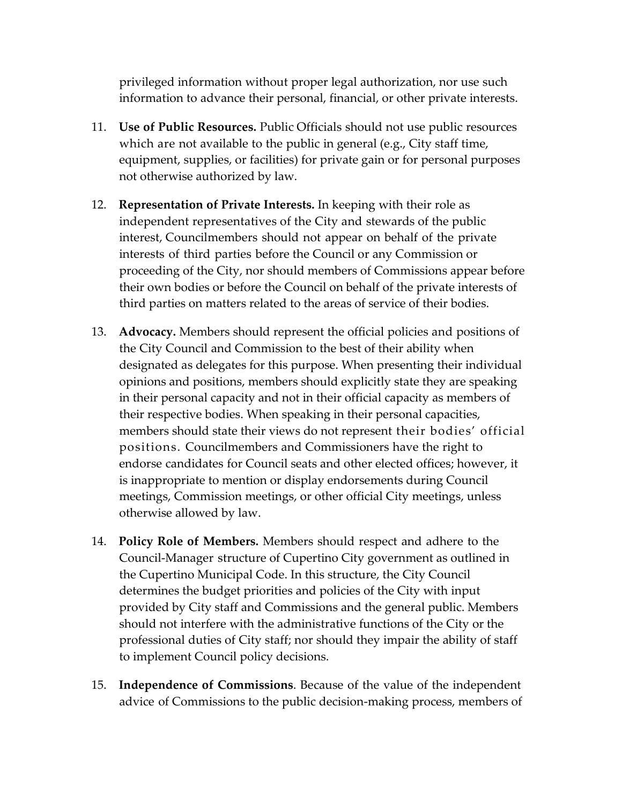privileged information without proper legal authorization, nor use such information to advance their personal, financial, or other private interests.

- 11. **Use of Public Resources.** Public Officials should not use public resources which are not available to the public in general (e.g., City staff time, equipment, supplies, or facilities) for private gain or for personal purposes not otherwise authorized by law.
- 12. **Representation of Private Interests.** In keeping with their role as independent representatives of the City and stewards of the public interest, Councilmembers should not appear on behalf of the private interests of third parties before the Council or any Commission or proceeding of the City, nor should members of Commissions appear before their own bodies or before the Council on behalf of the private interests of third parties on matters related to the areas of service of their bodies.
- 13. **Advocacy.** Members should represent the official policies and positions of the City Council and Commission to the best of their ability when designated as delegates for this purpose. When presenting their individual opinions and positions, members should explicitly state they are speaking in their personal capacity and not in their official capacity as members of their respective bodies. When speaking in their personal capacities, members should state their views do not represent their bodies' official positions. Councilmembers and Commissioners have the right to endorse candidates for Council seats and other elected offices; however, it is inappropriate to mention or display endorsements during Council meetings, Commission meetings, or other official City meetings, unless otherwise allowed by law.
- 14. **Policy Role of Members.** Members should respect and adhere to the Council-Manager structure of Cupertino City government as outlined in the Cupertino Municipal Code. In this structure, the City Council determines the budget priorities and policies of the City with input provided by City staff and Commissions and the general public. Members should not interfere with the administrative functions of the City or the professional duties of City staff; nor should they impair the ability of staff to implement Council policy decisions.
- 15. **Independence of Commissions**. Because of the value of the independent advice of Commissions to the public decision-making process, members of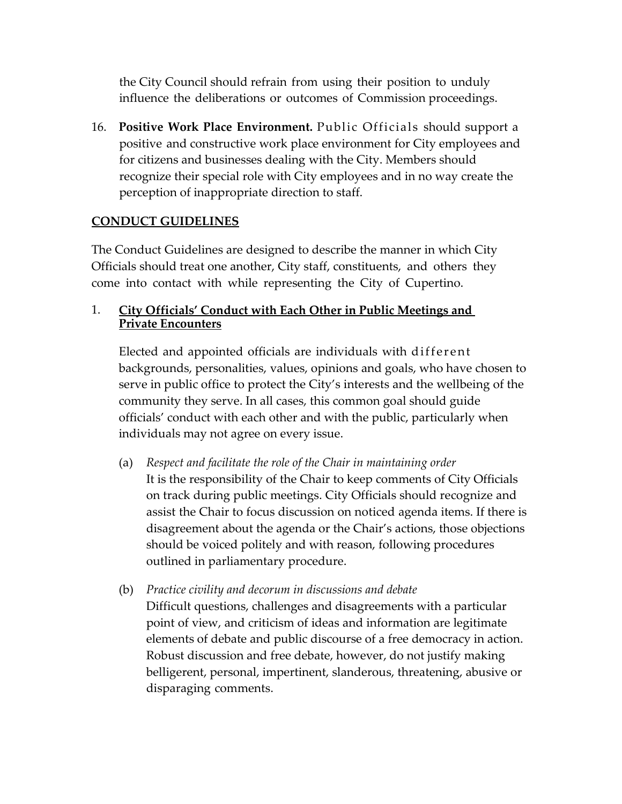the City Council should refrain from using their position to unduly influence the deliberations or outcomes of Commission proceedings.

16. **Positive Work Place Environment.** Public Officials should support a positive and constructive work place environment for City employees and for citizens and businesses dealing with the City. Members should recognize their special role with City employees and in no way create the perception of inappropriate direction to staff.

#### **CONDUCT GUIDELINES**

The Conduct Guidelines are designed to describe the manner in which City Officials should treat one another, City staff, constituents, and others they come into contact with while representing the City of Cupertino.

#### 1. **City Officials' Conduct with Each Other in Public Meetings and Private Encounters**

Elected and appointed officials are individuals with different backgrounds, personalities, values, opinions and goals, who have chosen to serve in public office to protect the City's interests and the wellbeing of the community they serve. In all cases, this common goal should guide officials' conduct with each other and with the public, particularly when individuals may not agree on every issue.

- (a) *Respect and facilitate the role of the Chair in maintaining order* It is the responsibility of the Chair to keep comments of City Officials on track during public meetings. City Officials should recognize and assist the Chair to focus discussion on noticed agenda items. If there is disagreement about the agenda or the Chair's actions, those objections should be voiced politely and with reason, following procedures outlined in parliamentary procedure.
- (b) *Practice civility and decorum in discussions and debate* Difficult questions, challenges and disagreements with a particular point of view, and criticism of ideas and information are legitimate elements of debate and public discourse of a free democracy in action. Robust discussion and free debate, however, do not justify making belligerent, personal, impertinent, slanderous, threatening, abusive or disparaging comments.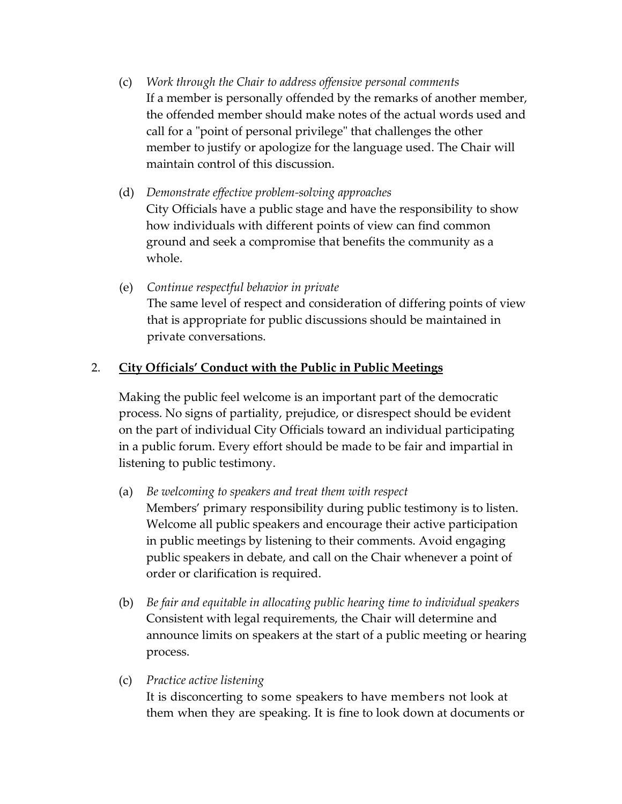- (c) *Work through the Chair to address offensive personal comments* If a member is personally offended by the remarks of another member, the offended member should make notes of the actual words used and call for a "point of personal privilege" that challenges the other member to justify or apologize for the language used. The Chair will maintain control of this discussion.
- (d) *Demonstrate effective problem-solving approaches* City Officials have a public stage and have the responsibility to show how individuals with different points of view can find common ground and seek a compromise that benefits the community as a whole.
- (e) *Continue respectful behavior in private* The same level of respect and consideration of differing points of view that is appropriate for public discussions should be maintained in private conversations.

## 2. **City Officials' Conduct with the Public in Public Meetings**

Making the public feel welcome is an important part of the democratic process. No signs of partiality, prejudice, or disrespect should be evident on the part of individual City Officials toward an individual participating in a public forum. Every effort should be made to be fair and impartial in listening to public testimony.

- (a) *Be welcoming to speakers and treat them with respect* Members' primary responsibility during public testimony is to listen. Welcome all public speakers and encourage their active participation in public meetings by listening to their comments. Avoid engaging public speakers in debate, and call on the Chair whenever a point of order or clarification is required.
- (b) *Be fair and equitable in allocating public hearing time to individual speakers* Consistent with legal requirements, the Chair will determine and announce limits on speakers at the start of a public meeting or hearing process.
- (c) *Practice active listening*

It is disconcerting to some speakers to have members not look at them when they are speaking. It is fine to look down at documents or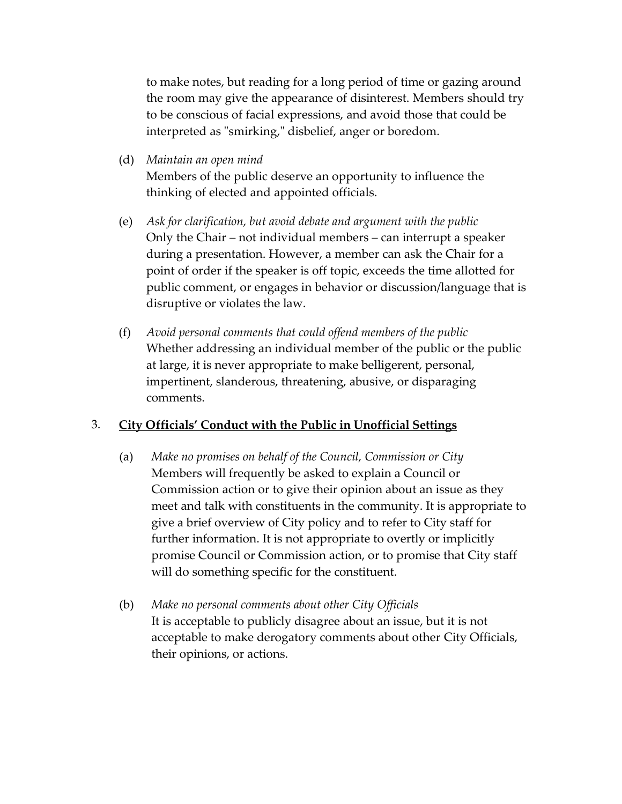to make notes, but reading for a long period of time or gazing around the room may give the appearance of disinterest. Members should try to be conscious of facial expressions, and avoid those that could be interpreted as "smirking," disbelief, anger or boredom.

(d) *Maintain an open mind*

Members of the public deserve an opportunity to influence the thinking of elected and appointed officials.

- (e) *Ask for clarification, but avoid debate and argument with the public* Only the Chair – not individual members – can interrupt a speaker during a presentation. However, a member can ask the Chair for a point of order if the speaker is off topic, exceeds the time allotted for public comment, or engages in behavior or discussion/language that is disruptive or violates the law.
- (f) *Avoid personal comments that could offend members of the public* Whether addressing an individual member of the public or the public at large, it is never appropriate to make belligerent, personal, impertinent, slanderous, threatening, abusive, or disparaging comments.

### 3. **City Officials' Conduct with the Public in Unofficial Settings**

- (a) *Make no promises on behalf of the Council, Commission or City* Members will frequently be asked to explain a Council or Commission action or to give their opinion about an issue as they meet and talk with constituents in the community. It is appropriate to give a brief overview of City policy and to refer to City staff for further information. It is not appropriate to overtly or implicitly promise Council or Commission action, or to promise that City staff will do something specific for the constituent.
- (b) *Make no personal comments about other City Officials* It is acceptable to publicly disagree about an issue, but it is not acceptable to make derogatory comments about other City Officials, their opinions, or actions.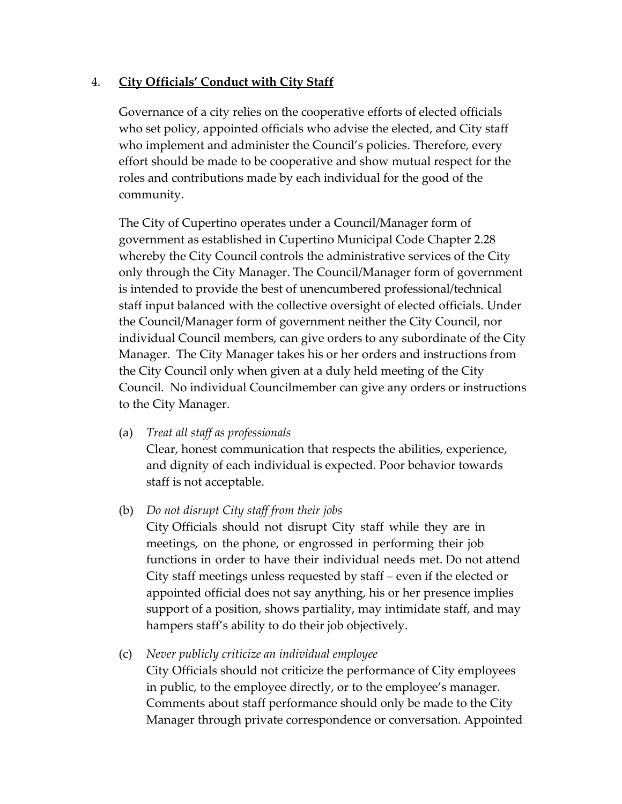## 4. **City Officials' Conduct with City Staff**

Governance of a city relies on the cooperative efforts of elected officials who set policy, appointed officials who advise the elected, and City staff who implement and administer the Council's policies. Therefore, every effort should be made to be cooperative and show mutual respect for the roles and contributions made by each individual for the good of the community.

The City of Cupertino operates under a Council/Manager form of government as established in Cupertino Municipal Code Chapter 2.28 whereby the City Council controls the administrative services of the City only through the City Manager. The Council/Manager form of government is intended to provide the best of unencumbered professional/technical staff input balanced with the collective oversight of elected officials. Under the Council/Manager form of government neither the City Council, nor individual Council members, can give orders to any subordinate of the City Manager. The City Manager takes his or her orders and instructions from the City Council only when given at a duly held meeting of the City Council. No individual Councilmember can give any orders or instructions to the City Manager.

(a) *Treat all staff as professionals* 

Clear, honest communication that respects the abilities, experience, and dignity of each individual is expected. Poor behavior towards staff is not acceptable.

#### (b) *Do not disrupt City staff from their jobs*

City Officials should not disrupt City staff while they are in meetings, on the phone, or engrossed in performing their job functions in order to have their individual needs met. Do not attend City staff meetings unless requested by staff – even if the elected or appointed official does not say anything, his or her presence implies support of a position, shows partiality, may intimidate staff, and may hampers staff's ability to do their job objectively.

(c) *Never publicly criticize an individual employee*

City Officials should not criticize the performance of City employees in public, to the employee directly, or to the employee's manager. Comments about staff performance should only be made to the City Manager through private correspondence or conversation. Appointed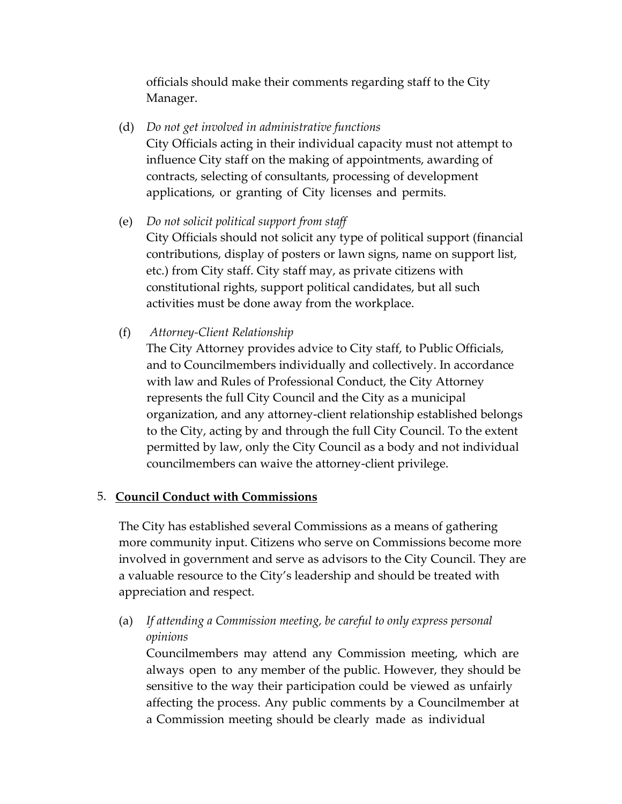officials should make their comments regarding staff to the City Manager.

- (d) *Do not get involved in administrative functions* City Officials acting in their individual capacity must not attempt to influence City staff on the making of appointments, awarding of contracts, selecting of consultants, processing of development applications, or granting of City licenses and permits.
- (e) *Do not solicit political support from staff* City Officials should not solicit any type of political support (financial contributions, display of posters or lawn signs, name on support list, etc.) from City staff. City staff may, as private citizens with constitutional rights, support political candidates, but all such activities must be done away from the workplace.
- (f) *Attorney-Client Relationship*

The City Attorney provides advice to City staff, to Public Officials, and to Councilmembers individually and collectively. In accordance with law and Rules of Professional Conduct, the City Attorney represents the full City Council and the City as a municipal organization, and any attorney-client relationship established belongs to the City, acting by and through the full City Council. To the extent permitted by law, only the City Council as a body and not individual councilmembers can waive the attorney-client privilege.

### 5. **Council Conduct with Commissions**

The City has established several Commissions as a means of gathering more community input. Citizens who serve on Commissions become more involved in government and serve as advisors to the City Council. They are a valuable resource to the City's leadership and should be treated with appreciation and respect.

(a) *If attending a Commission meeting, be careful to only express personal opinions*

Councilmembers may attend any Commission meeting, which are always open to any member of the public. However, they should be sensitive to the way their participation could be viewed as unfairly affecting the process. Any public comments by a Councilmember at a Commission meeting should be clearly made as individual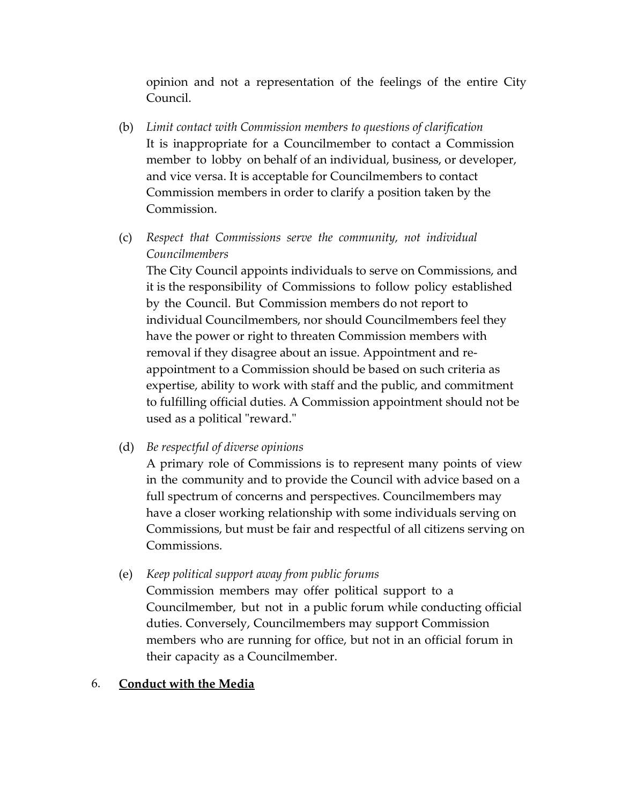opinion and not a representation of the feelings of the entire City Council.

- (b) *Limit contact with Commission members to questions of clarification* It is inappropriate for a Councilmember to contact a Commission member to lobby on behalf of an individual, business, or developer, and vice versa. It is acceptable for Councilmembers to contact Commission members in order to clarify a position taken by the Commission.
- (c) *Respect that Commissions serve the community, not individual Councilmembers*

The City Council appoints individuals to serve on Commissions, and it is the responsibility of Commissions to follow policy established by the Council. But Commission members do not report to individual Councilmembers, nor should Councilmembers feel they have the power or right to threaten Commission members with removal if they disagree about an issue. Appointment and reappointment to a Commission should be based on such criteria as expertise, ability to work with staff and the public, and commitment to fulfilling official duties. A Commission appointment should not be used as a political "reward."

(d) *Be respectful of diverse opinions*

A primary role of Commissions is to represent many points of view in the community and to provide the Council with advice based on a full spectrum of concerns and perspectives. Councilmembers may have a closer working relationship with some individuals serving on Commissions, but must be fair and respectful of all citizens serving on Commissions.

(e) *Keep political support away from public forums*

Commission members may offer political support to a Councilmember, but not in a public forum while conducting official duties. Conversely, Councilmembers may support Commission members who are running for office, but not in an official forum in their capacity as a Councilmember.

#### 6. **Conduct with the Media**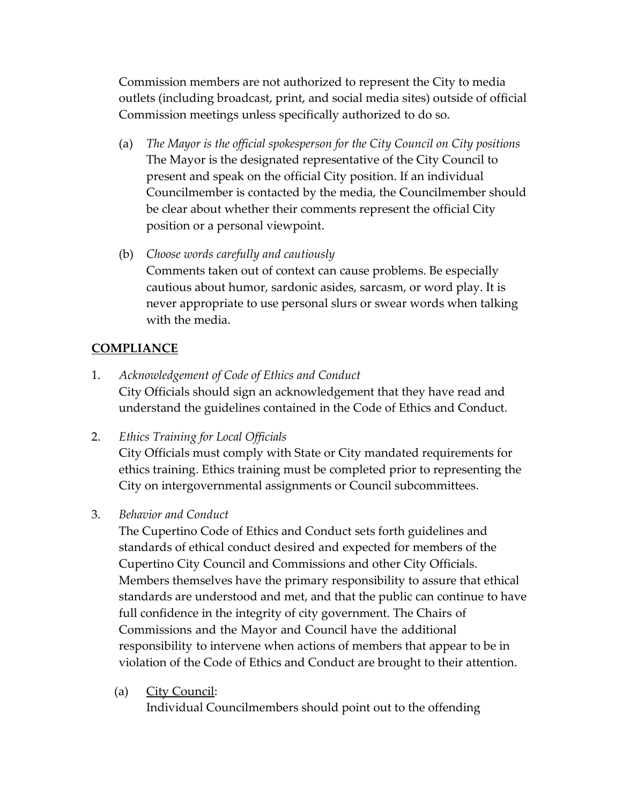Commission members are not authorized to represent the City to media outlets (including broadcast, print, and social media sites) outside of official Commission meetings unless specifically authorized to do so.

- (a) *The Mayor is the official spokesperson for the City Council on City positions* The Mayor is the designated representative of the City Council to present and speak on the official City position. If an individual Councilmember is contacted by the media, the Councilmember should be clear about whether their comments represent the official City position or a personal viewpoint.
- (b) *Choose words carefully and cautiously* Comments taken out of context can cause problems. Be especially cautious about humor, sardonic asides, sarcasm, or word play. It is never appropriate to use personal slurs or swear words when talking with the media.

#### **COMPLIANCE**

- 1. *Acknowledgement of Code of Ethics and Conduct* City Officials should sign an acknowledgement that they have read and understand the guidelines contained in the Code of Ethics and Conduct.
- 2. *Ethics Training for Local Officials*

City Officials must comply with State or City mandated requirements for ethics training. Ethics training must be completed prior to representing the City on intergovernmental assignments or Council subcommittees.

3. *Behavior and Conduct*

The Cupertino Code of Ethics and Conduct sets forth guidelines and standards of ethical conduct desired and expected for members of the Cupertino City Council and Commissions and other City Officials. Members themselves have the primary responsibility to assure that ethical standards are understood and met, and that the public can continue to have full confidence in the integrity of city government. The Chairs of Commissions and the Mayor and Council have the additional responsibility to intervene when actions of members that appear to be in violation of the Code of Ethics and Conduct are brought to their attention.

(a) City Council:

Individual Councilmembers should point out to the offending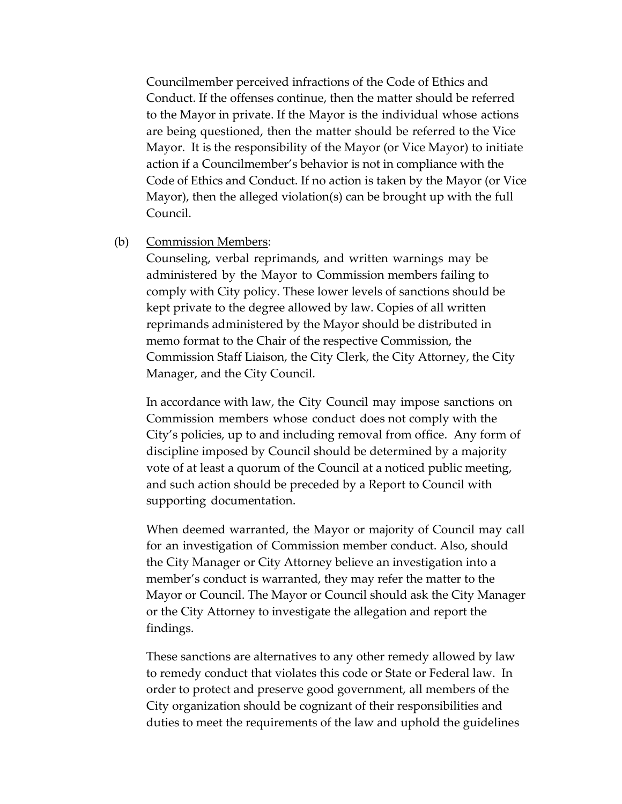Councilmember perceived infractions of the Code of Ethics and Conduct. If the offenses continue, then the matter should be referred to the Mayor in private. If the Mayor is the individual whose actions are being questioned, then the matter should be referred to the Vice Mayor. It is the responsibility of the Mayor (or Vice Mayor) to initiate action if a Councilmember's behavior is not in compliance with the Code of Ethics and Conduct. If no action is taken by the Mayor (or Vice Mayor), then the alleged violation(s) can be brought up with the full Council.

#### (b) Commission Members:

Counseling, verbal reprimands, and written warnings may be administered by the Mayor to Commission members failing to comply with City policy. These lower levels of sanctions should be kept private to the degree allowed by law. Copies of all written reprimands administered by the Mayor should be distributed in memo format to the Chair of the respective Commission, the Commission Staff Liaison, the City Clerk, the City Attorney, the City Manager, and the City Council.

In accordance with law, the City Council may impose sanctions on Commission members whose conduct does not comply with the City's policies, up to and including removal from office. Any form of discipline imposed by Council should be determined by a majority vote of at least a quorum of the Council at a noticed public meeting, and such action should be preceded by a Report to Council with supporting documentation.

When deemed warranted, the Mayor or majority of Council may call for an investigation of Commission member conduct. Also, should the City Manager or City Attorney believe an investigation into a member's conduct is warranted, they may refer the matter to the Mayor or Council. The Mayor or Council should ask the City Manager or the City Attorney to investigate the allegation and report the findings.

These sanctions are alternatives to any other remedy allowed by law to remedy conduct that violates this code or State or Federal law. In order to protect and preserve good government, all members of the City organization should be cognizant of their responsibilities and duties to meet the requirements of the law and uphold the guidelines